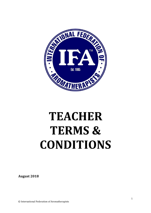

# **TEACHER TERMS & CONDITIONS**

**August 2018**

© International Federation of Aromatherapists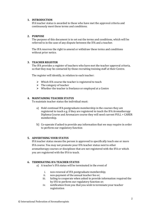## **1. INTRODUCTION**

IFA teacher status is awarded to those who have met the approval criteria and continuously meet these terms and conditions.

# **2. PURPOSE**

The purpose of this document is to set out the terms and conditions, which will be referred to in the case of any dispute between the IFA and a teacher.

The IFA reserves the right to amend or withdraw these terms and conditions without prior notice.

## **3. TEACHER REGISTER**

The IFA provides a register of teachers who have met the teacher approval criteria, so that they may be contacted by those recruiting training staff at their Centre.

The register will identify, in relation to each teacher:

- $\triangleright$  Which IFA course the teacher is registered to teach
- $\triangleright$  The category of teacher
- ➢ Whether the teacher is freelance or employed at a Centre

# **4. MAINTAINING TEACHER STATUS**

To maintain teacher status the individual must:

- a) Hold continual IFA postgraduate membership in the courses they are registered to teach e.g. if they are registered to teach the IFA Aromatherapy Diploma Course and Aromacare course they will need current FULL + CARER membership.
- b) Co-operate if asked to provide any information that we may require in order to perform our regulatory function

# **5. ADVERTISING YOUR STATUS**

IFA teacher status means the person is approved to specifically teach one or more IFA course. You may not promote your IFA teacher status next to other aromatherapy courses or disciplines that are not registered with the IFA or which you are registered with the IFA to teach.

# **6. TERMINATING IFA TEACHER STATUS**

- a) A teacher's IFA status will be terminated in the event of
	- i. non-renewal of IFA postgraduate membership;
	- ii. non-payment of the annual teacher fee or;
	- iii. failing to cooperate when asked to provide information required the by IFA to perform our regulatory function or;
	- iv. notification from you that you wish to terminate your teacher registration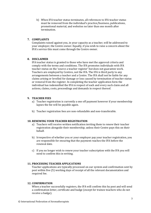b) When IFA teacher status terminates, all references to IFA teacher status must be removed from the individual's practice/business, publications, promotional material, and websites no later than one month after termination.

## **7. COMPLAINTS**

Complaints raised against you, in your capacity as a teacher, will be addressed to your employer, the Centre owner. Equally, if you wish to raise a concern about the IFA's service this must come through the Centre owner.

## **8. DISCLAIMER**

IFA teacher status is granted to those who have met the approval criteria and comply with the terms and conditions. The IFA promotes individuals with IFA teacher status on the 'source a teacher register' but does not guarantee work. Teachers are employed by Centres, not the IFA. The IFA is third party to any arrangements between a teacher and a Centre. The IFA shall not be liable for any claims arising or levelled for damage or loss caused by termination of teacher status or removal from the register. In completing the teacher application form the individual has indemnified the IFA in respect of each and every such claim and all actions, claims, costs, proceedings and demands in respect thereof.

# **9. TEACHER FEES**

- a) Teacher registration is currently a one off payment however if your membership lapses the fee will be payable again.
- b) Teacher registration fees are non-refundable and non-transferable.

#### **10. RENEWING YOUR TEACHER REGISTRATION**

- a) Teachers will receive written notification inviting them to renew their teacher registration alongside their membership, unless their Centre pays this on their behalf.
- b) Irrespective of whether you or your employer pay your teacher registration, you are responsible for ensuring that the payment reaches the IFA before the renewal date.
- c) If you no longer wish to renew your teacher subscription with the IFA you will need to confirm this in writing.

#### **11. PROCESSING TEACHER APPLICATIONS**

Teacher applications are typically processed on our system and confirmation sent by post within five (5) working days of receipt of all the relevant documentation and required fee.

#### **12. CONFIRMATION**

When a teacher successfully registers, the IFA will confirm this by post and will send a confirmation letter, certificate and badge (except for trainee teachers who do not receive a badge).